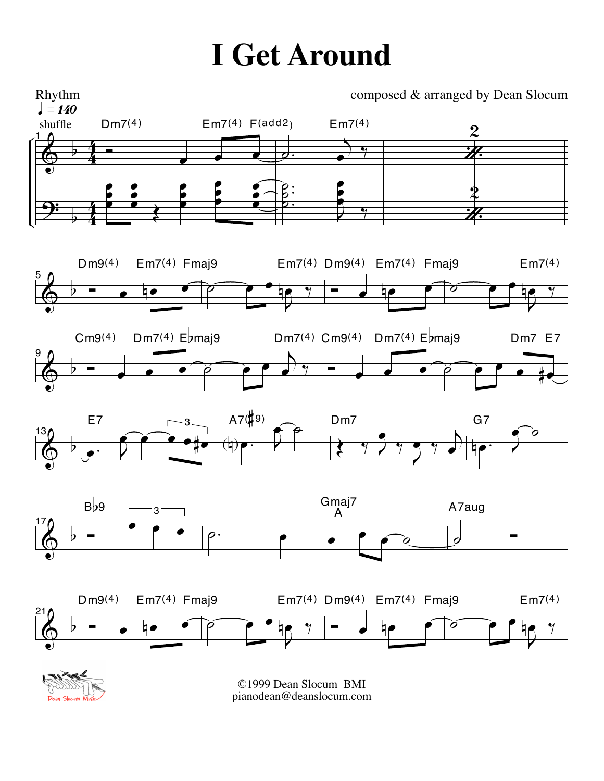## **I Get Around**

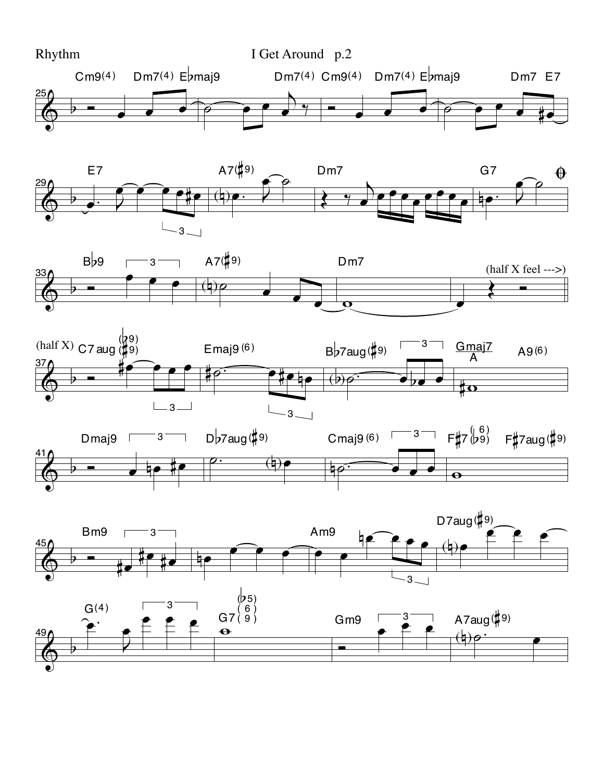









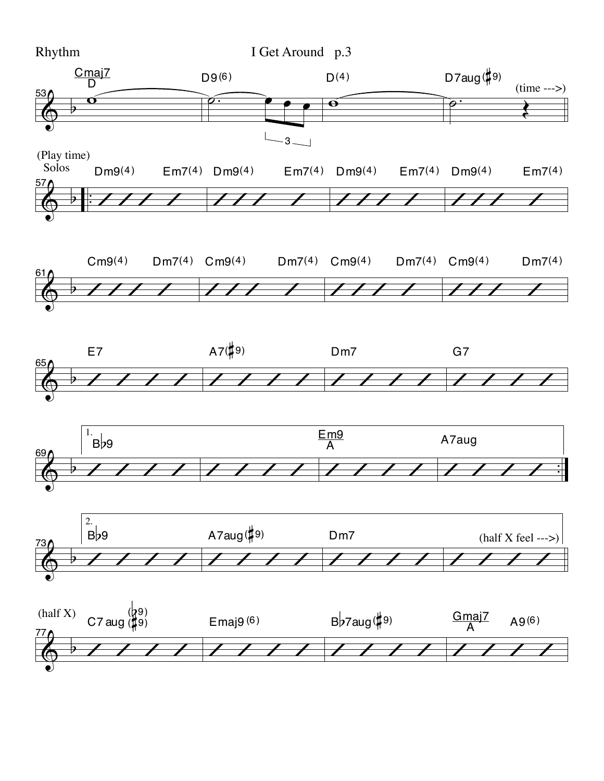